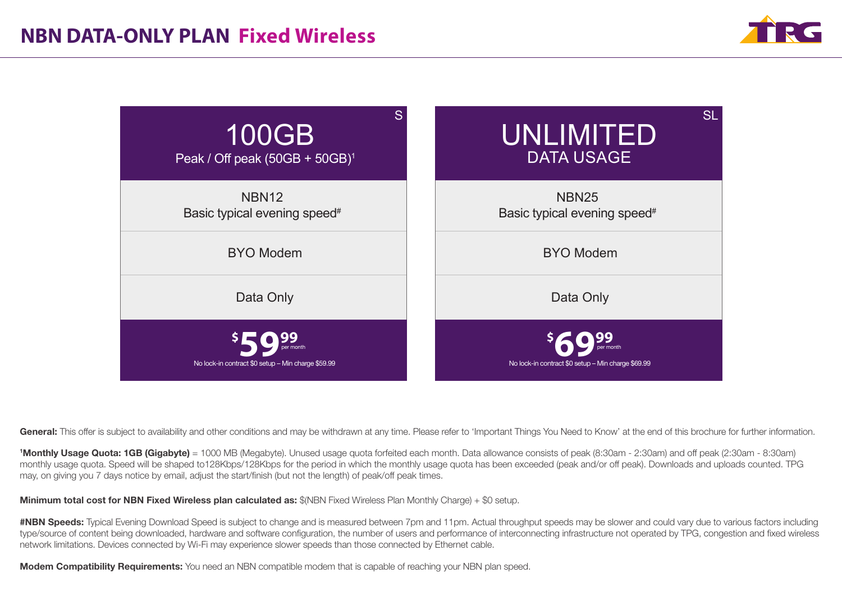



General: This offer is subject to availability and other conditions and may be withdrawn at any time. Please refer to 'Important Things You Need to Know' at the end of this brochure for further information.

<sup>1</sup>Monthly Usage Quota: 1GB (Gigabyte) = 1000 MB (Megabyte). Unused usage quota forfeited each month. Data allowance consists of peak (8:30am - 2:30am) and off peak (2:30am - 8:30am) monthly usage quota. Speed will be shaped to128Kbps/128Kbps for the period in which the monthly usage quota has been exceeded (peak and/or off peak). Downloads and uploads counted. TPG may, on giving you 7 days notice by email, adjust the start/finish (but not the length) of peak/off peak times.

Minimum total cost for NBN Fixed Wireless plan calculated as: \$(NBN Fixed Wireless Plan Monthly Charge) + \$0 setup.

#NBN Speeds: Typical Evening Download Speed is subject to change and is measured between 7pm and 11pm. Actual throughput speeds may be slower and could vary due to various factors including type/source of content being downloaded, hardware and software configuration, the number of users and performance of interconnecting infrastructure not operated by TPG, congestion and fixed wireless network limitations. Devices connected by Wi-Fi may experience slower speeds than those connected by Ethernet cable.

**Modem Compatibility Requirements:** You need an NBN compatible modem that is capable of reaching your NBN plan speed.